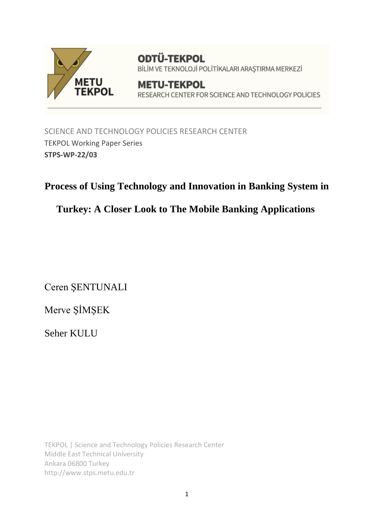

**ODTÜ-TEKPOL** BİLİM VE TEKNOLOJİ POLİTİKALARI ARAŞTIRMA MERKEZİ

**METU-TEKPOL** RESEARCH CENTER FOR SCIENCE AND TECHNOLOGY POLICIES

SCIENCE AND TECHNOLOGY POLICIES RESEARCH CENTER TEKPOL Working Paper Series **STPS-WP-22/03**

# **Process of Using Technology and Innovation in Banking System in**

# **Turkey: A Closer Look to The Mobile Banking Applications**

Ceren ŞENTUNALI

Merve ŞİMŞEK

Seher KULU

TEKPOL | Science and Technology Policies Research Center Middle East Technical University Ankara 06800 Turkey http://www.stps.metu.edu.tr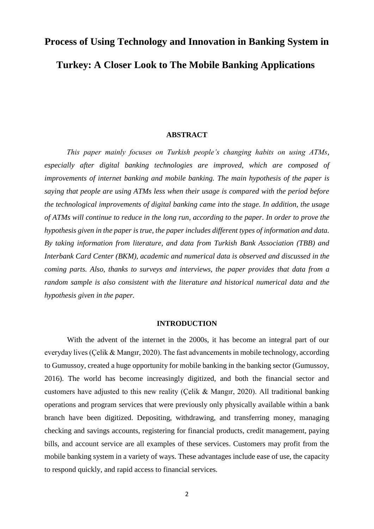# **Process of Using Technology and Innovation in Banking System in Turkey: A Closer Look to The Mobile Banking Applications**

#### **ABSTRACT**

*This paper mainly focuses on Turkish people's changing habits on using ATMs, especially after digital banking technologies are improved, which are composed of improvements of internet banking and mobile banking. The main hypothesis of the paper is saying that people are using ATMs less when their usage is compared with the period before the technological improvements of digital banking came into the stage. In addition, the usage of ATMs will continue to reduce in the long run, according to the paper. In order to prove the hypothesis given in the paper is true, the paper includes different types of information and data. By taking information from literature, and data from Turkish Bank Association (TBB) and Interbank Card Center (BKM), academic and numerical data is observed and discussed in the coming parts. Also, thanks to surveys and interviews, the paper provides that data from a random sample is also consistent with the literature and historical numerical data and the hypothesis given in the paper.*

#### **INTRODUCTION**

With the advent of the internet in the 2000s, it has become an integral part of our everyday lives (Çelik & Mangır, 2020). The fast advancements in mobile technology, according to Gumussoy, created a huge opportunity for mobile banking in the banking sector (Gumussoy, 2016). The world has become increasingly digitized, and both the financial sector and customers have adjusted to this new reality (Çelik & Mangır, 2020). All traditional banking operations and program services that were previously only physically available within a bank branch have been digitized. Depositing, withdrawing, and transferring money, managing checking and savings accounts, registering for financial products, credit management, paying bills, and account service are all examples of these services. Customers may profit from the mobile banking system in a variety of ways. These advantages include ease of use, the capacity to respond quickly, and rapid access to financial services.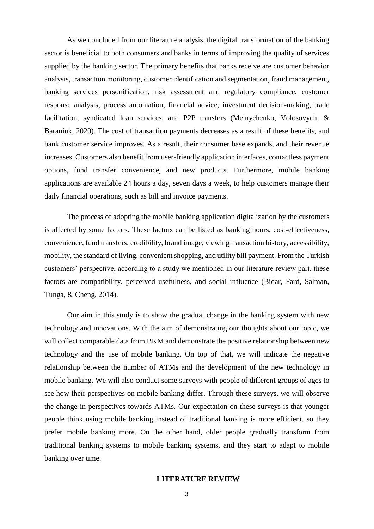As we concluded from our literature analysis, the digital transformation of the banking sector is beneficial to both consumers and banks in terms of improving the quality of services supplied by the banking sector. The primary benefits that banks receive are customer behavior analysis, transaction monitoring, customer identification and segmentation, fraud management, banking services personification, risk assessment and regulatory compliance, customer response analysis, process automation, financial advice, investment decision-making, trade facilitation, syndicated loan services, and P2P transfers (Melnychenko, Volosovych, & Baraniuk, 2020). The cost of transaction payments decreases as a result of these benefits, and bank customer service improves. As a result, their consumer base expands, and their revenue increases. Customers also benefit from user-friendly application interfaces, contactless payment options, fund transfer convenience, and new products. Furthermore, mobile banking applications are available 24 hours a day, seven days a week, to help customers manage their daily financial operations, such as bill and invoice payments.

The process of adopting the mobile banking application digitalization by the customers is affected by some factors. These factors can be listed as banking hours, cost-effectiveness, convenience, fund transfers, credibility, brand image, viewing transaction history, accessibility, mobility, the standard of living, convenient shopping, and utility bill payment. From the Turkish customers' perspective, according to a study we mentioned in our literature review part, these factors are compatibility, perceived usefulness, and social influence (Bidar, Fard, Salman, Tunga, & Cheng, 2014).

Our aim in this study is to show the gradual change in the banking system with new technology and innovations. With the aim of demonstrating our thoughts about our topic, we will collect comparable data from BKM and demonstrate the positive relationship between new technology and the use of mobile banking. On top of that, we will indicate the negative relationship between the number of ATMs and the development of the new technology in mobile banking. We will also conduct some surveys with people of different groups of ages to see how their perspectives on mobile banking differ. Through these surveys, we will observe the change in perspectives towards ATMs. Our expectation on these surveys is that younger people think using mobile banking instead of traditional banking is more efficient, so they prefer mobile banking more. On the other hand, older people gradually transform from traditional banking systems to mobile banking systems, and they start to adapt to mobile banking over time.

#### **LITERATURE REVIEW**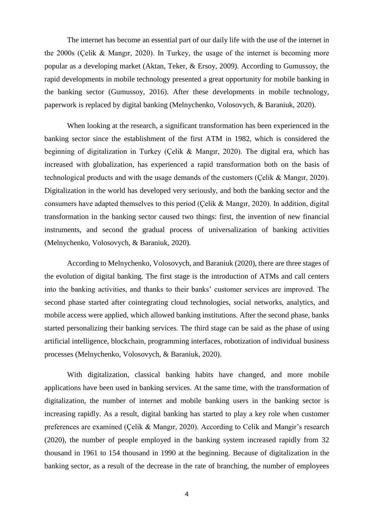The internet has become an essential part of our daily life with the use of the internet in the 2000s (Çelik & Mangır, 2020). In Turkey, the usage of the internet is becoming more popular as a developing market (Aktan, Teker, & Ersoy, 2009). According to Gumussoy, the rapid developments in mobile technology presented a great opportunity for mobile banking in the banking sector (Gumussoy, 2016). After these developments in mobile technology, paperwork is replaced by digital banking (Melnychenko, Volosovych, & Baraniuk, 2020).

When looking at the research, a significant transformation has been experienced in the banking sector since the establishment of the first ATM in 1982, which is considered the beginning of digitalization in Turkey (Çelik & Mangır, 2020). The digital era, which has increased with globalization, has experienced a rapid transformation both on the basis of technological products and with the usage demands of the customers (Çelik & Mangır, 2020). Digitalization in the world has developed very seriously, and both the banking sector and the consumers have adapted themselves to this period (Çelik & Mangır, 2020). In addition, digital transformation in the banking sector caused two things: first, the invention of new financial instruments, and second the gradual process of universalization of banking activities (Melnychenko, Volosovych, & Baraniuk, 2020).

According to Melnychenko, Volosovych, and Baraniuk (2020), there are three stages of the evolution of digital banking. The first stage is the introduction of ATMs and call centers into the banking activities, and thanks to their banks' customer services are improved. The second phase started after cointegrating cloud technologies, social networks, analytics, and mobile access were applied, which allowed banking institutions. After the second phase, banks started personalizing their banking services. The third stage can be said as the phase of using artificial intelligence, blockchain, programming interfaces, robotization of individual business processes (Melnychenko, Volosovych, & Baraniuk, 2020).

With digitalization, classical banking habits have changed, and more mobile applications have been used in banking services. At the same time, with the transformation of digitalization, the number of internet and mobile banking users in the banking sector is increasing rapidly. As a result, digital banking has started to play a key role when customer preferences are examined (Çelik & Mangır, 2020). According to Celik and Mangir's research (2020), the number of people employed in the banking system increased rapidly from 32 thousand in 1961 to 154 thousand in 1990 at the beginning. Because of digitalization in the banking sector, as a result of the decrease in the rate of branching, the number of employees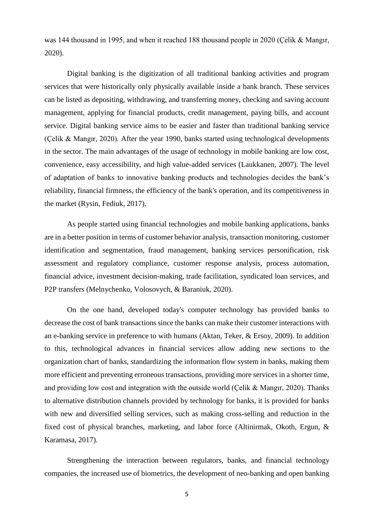was 144 thousand in 1995, and when it reached 188 thousand people in 2020 (Çelik & Mangır, 2020).

Digital banking is the digitization of all traditional banking activities and program services that were historically only physically available inside a bank branch. These services can be listed as depositing, withdrawing, and transferring money, checking and saving account management, applying for financial products, credit management, paying bills, and account service. Digital banking service aims to be easier and faster than traditional banking service (Çelik & Mangır, 2020). After the year 1990, banks started using technological developments in the sector. The main advantages of the usage of technology in mobile banking are low cost, convenience, easy accessibility, and high value-added services (Laukkanen, 2007). The level of adaptation of banks to innovative banking products and technologies decides the bank's reliability, financial firmness, the efficiency of the bank's operation, and its competitiveness in the market (Rysin, Fediuk, 2017).

As people started using financial technologies and mobile banking applications, banks are in a better position in terms of customer behavior analysis, transaction monitoring, customer identification and segmentation, fraud management, banking services personification, risk assessment and regulatory compliance, customer response analysis, process automation, financial advice, investment decision-making, trade facilitation, syndicated loan services, and P2P transfers (Melnychenko, Volosovych, & Baraniuk, 2020).

On the one hand, developed today's computer technology has provided banks to decrease the cost of bank transactions since the banks can make their customer interactions with an e-banking service in preference to with humans (Aktan, Teker, & Ersoy, 2009). In addition to this, technological advances in financial services allow adding new sections to the organization chart of banks, standardizing the information flow system in banks, making them more efficient and preventing erroneous transactions, providing more services in a shorter time, and providing low cost and integration with the outside world (Çelik & Mangır, 2020). Thanks to alternative distribution channels provided by technology for banks, it is provided for banks with new and diversified selling services, such as making cross-selling and reduction in the fixed cost of physical branches, marketing, and labor force (Altinirmak, Okoth, Ergun, & Karamasa, 2017).

Strengthening the interaction between regulators, banks, and financial technology companies, the increased use of biometrics, the development of neo-banking and open banking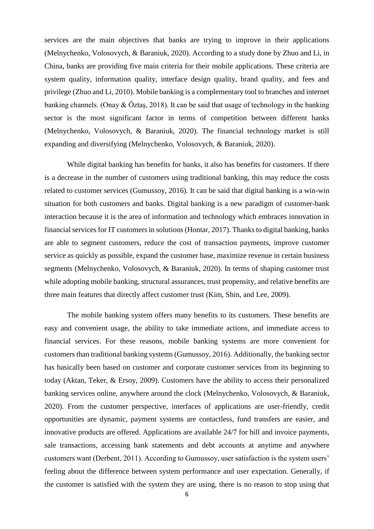services are the main objectives that banks are trying to improve in their applications (Melnychenko, Volosovych, & Baraniuk, 2020). According to a study done by Zhuo and Li, in China, banks are providing five main criteria for their mobile applications. These criteria are system quality, information quality, interface design quality, brand quality, and fees and privilege (Zhuo and Li, 2010). Mobile banking is a complementary tool to branches and internet banking channels. (Onay & Öztaş, 2018). It can be said that usage of technology in the banking sector is the most significant factor in terms of competition between different banks (Melnychenko, Volosovych, & Baraniuk, 2020). The financial technology market is still expanding and diversifying (Melnychenko, Volosovych, & Baraniuk, 2020).

While digital banking has benefits for banks, it also has benefits for customers. If there is a decrease in the number of customers using traditional banking, this may reduce the costs related to customer services (Gumussoy, 2016). It can be said that digital banking is a win-win situation for both customers and banks. Digital banking is a new paradigm of customer-bank interaction because it is the area of information and technology which embraces innovation in financial services for IT customers in solutions (Hontar, 2017). Thanks to digital banking, banks are able to segment customers, reduce the cost of transaction payments, improve customer service as quickly as possible, expand the customer base, maximize revenue in certain business segments (Melnychenko, Volosovych, & Baraniuk, 2020). In terms of shaping customer trust while adopting mobile banking, structural assurances, trust propensity, and relative benefits are three main features that directly affect customer trust (Kim, Shin, and Lee, 2009).

The mobile banking system offers many benefits to its customers. These benefits are easy and convenient usage, the ability to take immediate actions, and immediate access to financial services. For these reasons, mobile banking systems are more convenient for customers than traditional banking systems (Gumussoy, 2016). Additionally, the banking sector has basically been based on customer and corporate customer services from its beginning to today (Aktan, Teker, & Ersoy, 2009). Customers have the ability to access their personalized banking services online, anywhere around the clock (Melnychenko, Volosovych, & Baraniuk, 2020). From the customer perspective, interfaces of applications are user-friendly, credit opportunities are dynamic, payment systems are contactless, fund transfers are easier, and innovative products are offered. Applications are available 24/7 for bill and invoice payments, sale transactions, accessing bank statements and debt accounts at anytime and anywhere customers want (Derbent, 2011). According to Gumussoy, user satisfaction is the system users' feeling about the difference between system performance and user expectation. Generally, if the customer is satisfied with the system they are using, there is no reason to stop using that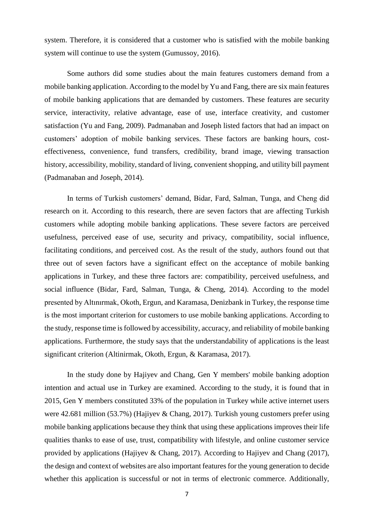system. Therefore, it is considered that a customer who is satisfied with the mobile banking system will continue to use the system (Gumussoy, 2016).

Some authors did some studies about the main features customers demand from a mobile banking application. According to the model by Yu and Fang, there are six main features of mobile banking applications that are demanded by customers. These features are security service, interactivity, relative advantage, ease of use, interface creativity, and customer satisfaction (Yu and Fang, 2009). Padmanaban and Joseph listed factors that had an impact on customers' adoption of mobile banking services. These factors are banking hours, costeffectiveness, convenience, fund transfers, credibility, brand image, viewing transaction history, accessibility, mobility, standard of living, convenient shopping, and utility bill payment (Padmanaban and Joseph, 2014).

In terms of Turkish customers' demand, Bidar, Fard, Salman, Tunga, and Cheng did research on it. According to this research, there are seven factors that are affecting Turkish customers while adopting mobile banking applications. These severe factors are perceived usefulness, perceived ease of use, security and privacy, compatibility, social influence, facilitating conditions, and perceived cost. As the result of the study, authors found out that three out of seven factors have a significant effect on the acceptance of mobile banking applications in Turkey, and these three factors are: compatibility, perceived usefulness, and social influence (Bidar, Fard, Salman, Tunga, & Cheng, 2014). According to the model presented by Altınırmak, Okoth, Ergun, and Karamasa, Denizbank in Turkey, the response time is the most important criterion for customers to use mobile banking applications. According to the study, response time is followed by accessibility, accuracy, and reliability of mobile banking applications. Furthermore, the study says that the understandability of applications is the least significant criterion (Altinirmak, Okoth, Ergun, & Karamasa, 2017).

In the study done by Hajiyev and Chang, Gen Y members' mobile banking adoption intention and actual use in Turkey are examined. According to the study, it is found that in 2015, Gen Y members constituted 33% of the population in Turkey while active internet users were 42.681 million (53.7%) (Hajiyev & Chang, 2017). Turkish young customers prefer using mobile banking applications because they think that using these applications improves their life qualities thanks to ease of use, trust, compatibility with lifestyle, and online customer service provided by applications (Hajiyev & Chang, 2017). According to Hajiyev and Chang (2017), the design and context of websites are also important features for the young generation to decide whether this application is successful or not in terms of electronic commerce. Additionally,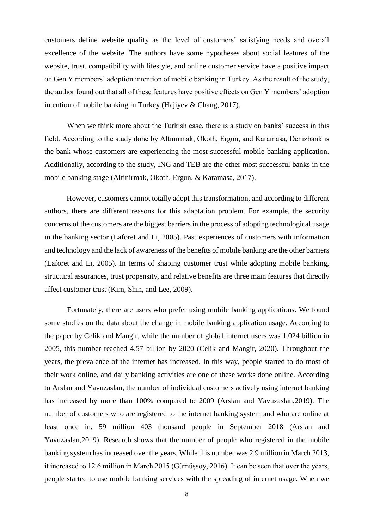customers define website quality as the level of customers' satisfying needs and overall excellence of the website. The authors have some hypotheses about social features of the website, trust, compatibility with lifestyle, and online customer service have a positive impact on Gen Y members' adoption intention of mobile banking in Turkey. As the result of the study, the author found out that all of these features have positive effects on Gen Y members' adoption intention of mobile banking in Turkey (Hajiyev & Chang, 2017).

When we think more about the Turkish case, there is a study on banks' success in this field. According to the study done by Altınırmak, Okoth, Ergun, and Karamasa, Denizbank is the bank whose customers are experiencing the most successful mobile banking application. Additionally, according to the study, ING and TEB are the other most successful banks in the mobile banking stage (Altinirmak, Okoth, Ergun, & Karamasa, 2017).

 However, customers cannot totally adopt this transformation, and according to different authors, there are different reasons for this adaptation problem. For example, the security concerns of the customers are the biggest barriers in the process of adopting technological usage in the banking sector (Laforet and Li, 2005). Past experiences of customers with information and technology and the lack of awareness of the benefits of mobile banking are the other barriers (Laforet and Li, 2005). In terms of shaping customer trust while adopting mobile banking, structural assurances, trust propensity, and relative benefits are three main features that directly affect customer trust (Kim, Shin, and Lee, 2009).

Fortunately, there are users who prefer using mobile banking applications. We found some studies on the data about the change in mobile banking application usage. According to the paper by Celik and Mangir, while the number of global internet users was 1.024 billion in 2005, this number reached 4.57 billion by 2020 (Celik and Mangir, 2020). Throughout the years, the prevalence of the internet has increased. In this way, people started to do most of their work online, and daily banking activities are one of these works done online. According to Arslan and Yavuzaslan, the number of individual customers actively using internet banking has increased by more than 100% compared to 2009 (Arslan and Yavuzaslan,2019). The number of customers who are registered to the internet banking system and who are online at least once in, 59 million 403 thousand people in September 2018 (Arslan and Yavuzaslan,2019). Research shows that the number of people who registered in the mobile banking system has increased over the years. While this number was 2.9 million in March 2013, it increased to 12.6 million in March 2015 (Gümüşsoy, 2016). It can be seen that over the years, people started to use mobile banking services with the spreading of internet usage. When we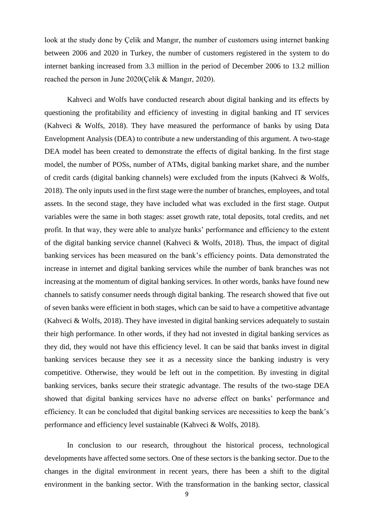look at the study done by Çelik and Mangır, the number of customers using internet banking between 2006 and 2020 in Turkey, the number of customers registered in the system to do internet banking increased from 3.3 million in the period of December 2006 to 13.2 million reached the person in June 2020(Çelik & Mangır, 2020).

Kahveci and Wolfs have conducted research about digital banking and its effects by questioning the profitability and efficiency of investing in digital banking and IT services (Kahveci & Wolfs, 2018). They have measured the performance of banks by using Data Envelopment Analysis (DEA) to contribute a new understanding of this argument. A two-stage DEA model has been created to demonstrate the effects of digital banking. In the first stage model, the number of POSs, number of ATMs, digital banking market share, and the number of credit cards (digital banking channels) were excluded from the inputs (Kahveci & Wolfs, 2018). The only inputs used in the first stage were the number of branches, employees, and total assets. In the second stage, they have included what was excluded in the first stage. Output variables were the same in both stages: asset growth rate, total deposits, total credits, and net profit. In that way, they were able to analyze banks' performance and efficiency to the extent of the digital banking service channel (Kahveci & Wolfs, 2018). Thus, the impact of digital banking services has been measured on the bank's efficiency points. Data demonstrated the increase in internet and digital banking services while the number of bank branches was not increasing at the momentum of digital banking services. In other words, banks have found new channels to satisfy consumer needs through digital banking. The research showed that five out of seven banks were efficient in both stages, which can be said to have a competitive advantage (Kahveci & Wolfs, 2018). They have invested in digital banking services adequately to sustain their high performance. In other words, if they had not invested in digital banking services as they did, they would not have this efficiency level. It can be said that banks invest in digital banking services because they see it as a necessity since the banking industry is very competitive. Otherwise, they would be left out in the competition. By investing in digital banking services, banks secure their strategic advantage. The results of the two-stage DEA showed that digital banking services have no adverse effect on banks' performance and efficiency. It can be concluded that digital banking services are necessities to keep the bank's performance and efficiency level sustainable (Kahveci & Wolfs, 2018).

In conclusion to our research, throughout the historical process, technological developments have affected some sectors. One of these sectors is the banking sector. Due to the changes in the digital environment in recent years, there has been a shift to the digital environment in the banking sector. With the transformation in the banking sector, classical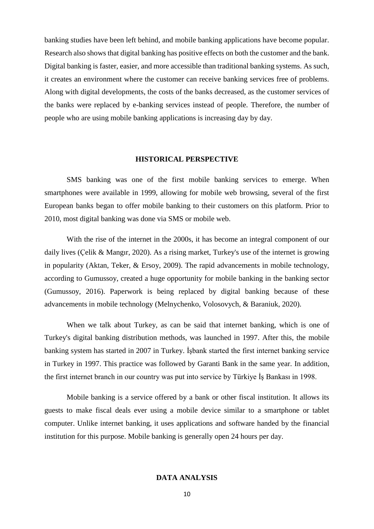banking studies have been left behind, and mobile banking applications have become popular. Research also shows that digital banking has positive effects on both the customer and the bank. Digital banking is faster, easier, and more accessible than traditional banking systems. As such, it creates an environment where the customer can receive banking services free of problems. Along with digital developments, the costs of the banks decreased, as the customer services of the banks were replaced by e-banking services instead of people. Therefore, the number of people who are using mobile banking applications is increasing day by day.

#### **HISTORICAL PERSPECTIVE**

SMS banking was one of the first mobile banking services to emerge. When smartphones were available in 1999, allowing for mobile web browsing, several of the first European banks began to offer mobile banking to their customers on this platform. Prior to 2010, most digital banking was done via SMS or mobile web.

With the rise of the internet in the 2000s, it has become an integral component of our daily lives (Çelik & Mangır, 2020). As a rising market, Turkey's use of the internet is growing in popularity (Aktan, Teker, & Ersoy, 2009). The rapid advancements in mobile technology, according to Gumussoy, created a huge opportunity for mobile banking in the banking sector (Gumussoy, 2016). Paperwork is being replaced by digital banking because of these advancements in mobile technology (Melnychenko, Volosovych, & Baraniuk, 2020).

When we talk about Turkey, as can be said that internet banking, which is one of Turkey's digital banking distribution methods, was launched in 1997. After this, the mobile banking system has started in 2007 in Turkey. İşbank started the first internet banking service in Turkey in 1997. This practice was followed by Garanti Bank in the same year. In addition, the first internet branch in our country was put into service by Türkiye İş Bankası in 1998.

Mobile banking is a service offered by a bank or other fiscal institution. It allows its guests to make fiscal deals ever using a mobile device similar to a smartphone or tablet computer. Unlike internet banking, it uses applications and software handed by the financial institution for this purpose. Mobile banking is generally open 24 hours per day.

# **DATA ANALYSIS**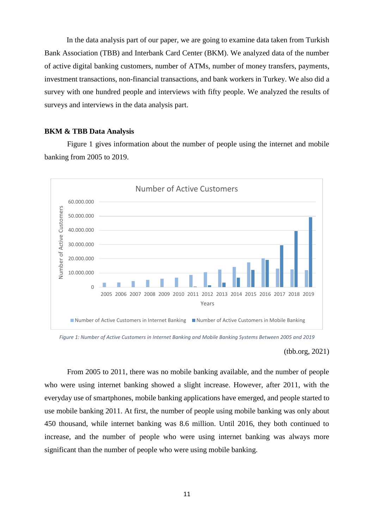In the data analysis part of our paper, we are going to examine data taken from Turkish Bank Association (TBB) and Interbank Card Center (BKM). We analyzed data of the number of active digital banking customers, number of ATMs, number of money transfers, payments, investment transactions, non-financial transactions, and bank workers in Turkey. We also did a survey with one hundred people and interviews with fifty people. We analyzed the results of surveys and interviews in the data analysis part.

#### **BKM & TBB Data Analysis**

Figure 1 gives information about the number of people using the internet and mobile banking from 2005 to 2019.



*Figure 1: Number of Active Customers in Internet Banking and Mobile Banking Systems Between 2005 and 2019*

#### (tbb.org, 2021)

From 2005 to 2011, there was no mobile banking available, and the number of people who were using internet banking showed a slight increase. However, after 2011, with the everyday use of smartphones, mobile banking applications have emerged, and people started to use mobile banking 2011. At first, the number of people using mobile banking was only about 450 thousand, while internet banking was 8.6 million. Until 2016, they both continued to increase, and the number of people who were using internet banking was always more significant than the number of people who were using mobile banking.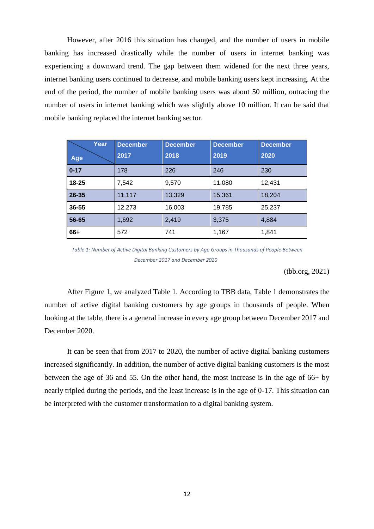However, after 2016 this situation has changed, and the number of users in mobile banking has increased drastically while the number of users in internet banking was experiencing a downward trend. The gap between them widened for the next three years, internet banking users continued to decrease, and mobile banking users kept increasing. At the end of the period, the number of mobile banking users was about 50 million, outracing the number of users in internet banking which was slightly above 10 million. It can be said that mobile banking replaced the internet banking sector.

| Year<br>Age | <b>December</b><br>2017 | <b>December</b><br>2018 | <b>December</b><br>2019 | <b>December</b><br>2020 |
|-------------|-------------------------|-------------------------|-------------------------|-------------------------|
| $0 - 17$    | 178                     | 226                     | 246                     | 230                     |
| $18 - 25$   | 7,542                   | 9,570                   | 11,080                  | 12,431                  |
| $26 - 35$   | 11,117                  | 13,329                  | 15,361                  | 18,204                  |
| $36 - 55$   | 12,273                  | 16,003                  | 19,785                  | 25,237                  |
| 56-65       | 1,692                   | 2,419                   | 3,375                   | 4,884                   |
| 66+         | 572                     | 741                     | 1,167                   | 1,841                   |

*Table 1: Number of Active Digital Banking Customers by Age Groups in Thousands of People Between December 2017 and December 2020*

(tbb.org, 2021)

After Figure 1, we analyzed Table 1. According to TBB data, Table 1 demonstrates the number of active digital banking customers by age groups in thousands of people. When looking at the table, there is a general increase in every age group between December 2017 and December 2020.

It can be seen that from 2017 to 2020, the number of active digital banking customers increased significantly. In addition, the number of active digital banking customers is the most between the age of 36 and 55. On the other hand, the most increase is in the age of 66+ by nearly tripled during the periods, and the least increase is in the age of 0-17. This situation can be interpreted with the customer transformation to a digital banking system.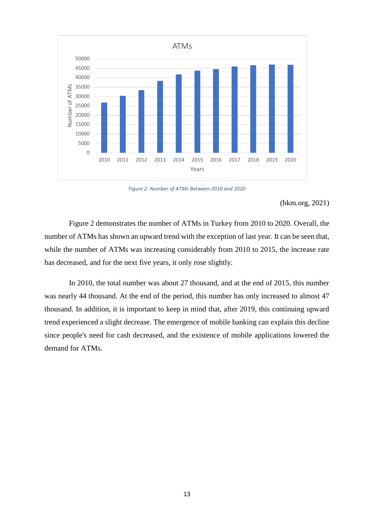

*Figure 2: Number of ATMs Between 2010 and 2020*

(bkm.org, 2021)

Figure 2 demonstrates the number of ATMs in Turkey from 2010 to 2020. Overall, the number of ATMs has shown an upward trend with the exception of last year. It can be seen that, while the number of ATMs was increasing considerably from 2010 to 2015, the increase rate has decreased, and for the next five years, it only rose slightly.

In 2010, the total number was about 27 thousand, and at the end of 2015, this number was nearly 44 thousand. At the end of the period, this number has only increased to almost 47 thousand. In addition, it is important to keep in mind that, after 2019, this continuing upward trend experienced a slight decrease. The emergence of mobile banking can explain this decline since people's need for cash decreased, and the existence of mobile applications lowered the demand for ATMs.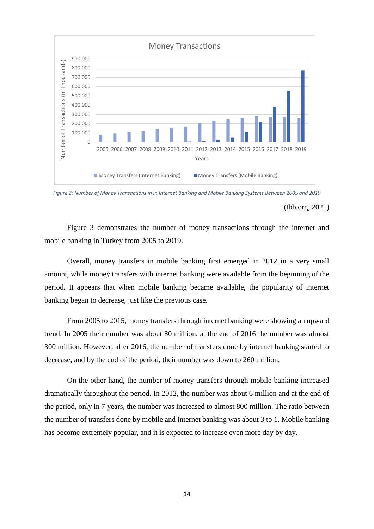

*Figure 2: Number of Money Transactions in in Internet Banking and Mobile Banking Systems Between 2005 and 2019* 

Figure 3 demonstrates the number of money transactions through the internet and mobile banking in Turkey from 2005 to 2019.

Overall, money transfers in mobile banking first emerged in 2012 in a very small amount, while money transfers with internet banking were available from the beginning of the period. It appears that when mobile banking became available, the popularity of internet banking began to decrease, just like the previous case.

From 2005 to 2015, money transfers through internet banking were showing an upward trend. In 2005 their number was about 80 million, at the end of 2016 the number was almost 300 million. However, after 2016, the number of transfers done by internet banking started to decrease, and by the end of the period, their number was down to 260 million.

On the other hand, the number of money transfers through mobile banking increased dramatically throughout the period. In 2012, the number was about 6 million and at the end of the period, only in 7 years, the number was increased to almost 800 million. The ratio between the number of transfers done by mobile and internet banking was about 3 to 1. Mobile banking has become extremely popular, and it is expected to increase even more day by day.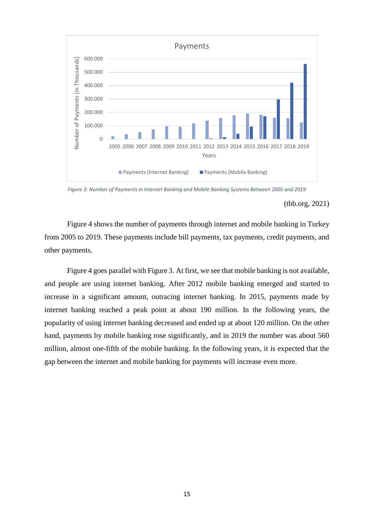

*Figure 3: Number of Payments in Internet Banking and Mobile Banking Systems Between 2005 and 2019*

Figure 4 shows the number of payments through internet and mobile banking in Turkey from 2005 to 2019. These payments include bill payments, tax payments, credit payments, and other payments.

Figure 4 goes parallel with Figure 3. At first, we see that mobile banking is not available, and people are using internet banking. After 2012 mobile banking emerged and started to increase in a significant amount, outracing internet banking. In 2015, payments made by internet banking reached a peak point at about 190 million. In the following years, the popularity of using internet banking decreased and ended up at about 120 million. On the other hand, payments by mobile banking rose significantly, and in 2019 the number was about 560 million, almost one-fifth of the mobile banking. In the following years, it is expected that the gap between the internet and mobile banking for payments will increase even more.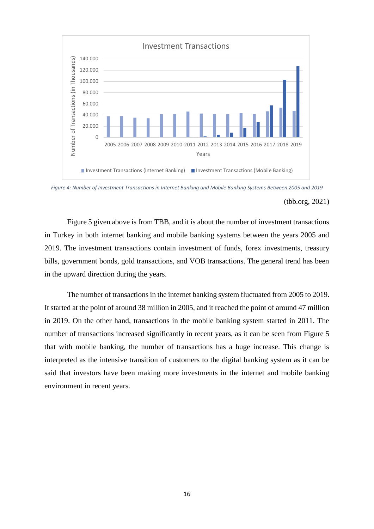

*Figure 4: Number of Investment Transactions in Internet Banking and Mobile Banking Systems Between 2005 and 2019*

Figure 5 given above is from TBB, and it is about the number of investment transactions in Turkey in both internet banking and mobile banking systems between the years 2005 and 2019. The investment transactions contain investment of funds, forex investments, treasury bills, government bonds, gold transactions, and VOB transactions. The general trend has been in the upward direction during the years.

The number of transactions in the internet banking system fluctuated from 2005 to 2019. It started at the point of around 38 million in 2005, and it reached the point of around 47 million in 2019. On the other hand, transactions in the mobile banking system started in 2011. The number of transactions increased significantly in recent years, as it can be seen from Figure 5 that with mobile banking, the number of transactions has a huge increase. This change is interpreted as the intensive transition of customers to the digital banking system as it can be said that investors have been making more investments in the internet and mobile banking environment in recent years.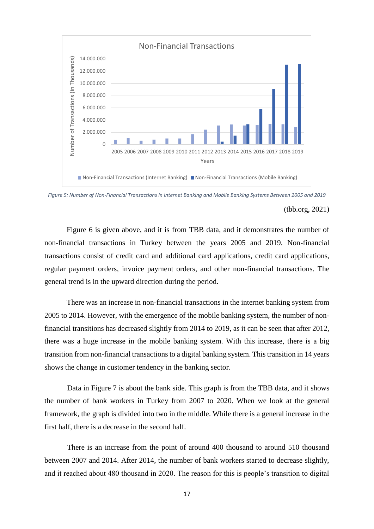

*Figure 5: Number of Non-Financial Transactions in Internet Banking and Mobile Banking Systems Between 2005 and 2019*

Figure 6 is given above, and it is from TBB data, and it demonstrates the number of non-financial transactions in Turkey between the years 2005 and 2019. Non-financial transactions consist of credit card and additional card applications, credit card applications, regular payment orders, invoice payment orders, and other non-financial transactions. The general trend is in the upward direction during the period.

There was an increase in non-financial transactions in the internet banking system from 2005 to 2014. However, with the emergence of the mobile banking system, the number of nonfinancial transitions has decreased slightly from 2014 to 2019, as it can be seen that after 2012, there was a huge increase in the mobile banking system. With this increase, there is a big transition from non-financial transactions to a digital banking system. This transition in 14 years shows the change in customer tendency in the banking sector.

Data in Figure 7 is about the bank side. This graph is from the TBB data, and it shows the number of bank workers in Turkey from 2007 to 2020. When we look at the general framework, the graph is divided into two in the middle. While there is a general increase in the first half, there is a decrease in the second half.

There is an increase from the point of around 400 thousand to around 510 thousand between 2007 and 2014. After 2014, the number of bank workers started to decrease slightly, and it reached about 480 thousand in 2020. The reason for this is people's transition to digital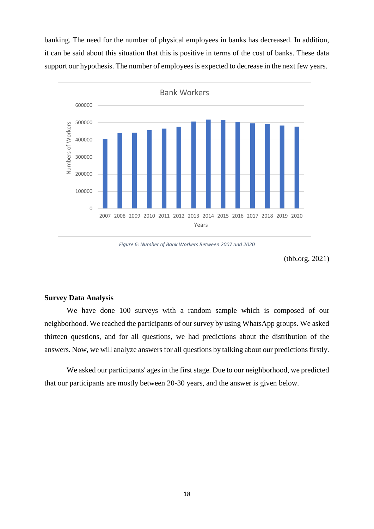banking. The need for the number of physical employees in banks has decreased. In addition, it can be said about this situation that this is positive in terms of the cost of banks. These data support our hypothesis. The number of employees is expected to decrease in the next few years.



*Figure 6: Number of Bank Workers Between 2007 and 2020*

(tbb.org, 2021)

### **Survey Data Analysis**

We have done 100 surveys with a random sample which is composed of our neighborhood. We reached the participants of our survey by using WhatsApp groups. We asked thirteen questions, and for all questions, we had predictions about the distribution of the answers. Now, we will analyze answers for all questions by talking about our predictions firstly.

We asked our participants' ages in the first stage. Due to our neighborhood, we predicted that our participants are mostly between 20-30 years, and the answer is given below.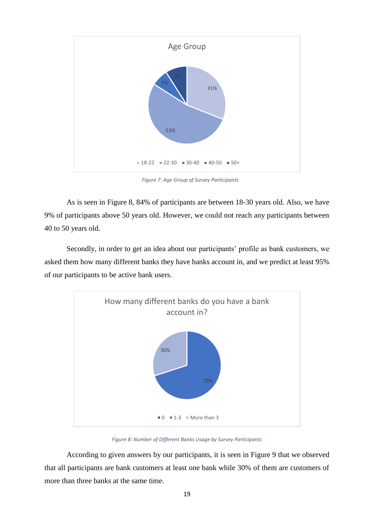

*Figure 7: Age Group of Survey Participants*

As is seen in Figure 8, 84% of participants are between 18-30 years old. Also, we have 9% of participants above 50 years old. However, we could not reach any participants between 40 to 50 years old.

Secondly, in order to get an idea about our participants' profile as bank customers, we asked them how many different banks they have banks account in, and we predict at least 95% of our participants to be active bank users.



*Figure 8: Number of Different Banks Usage by Survey Participants* 

According to given answers by our participants, it is seen in Figure 9 that we observed that all participants are bank customers at least one bank while 30% of them are customers of more than three banks at the same time.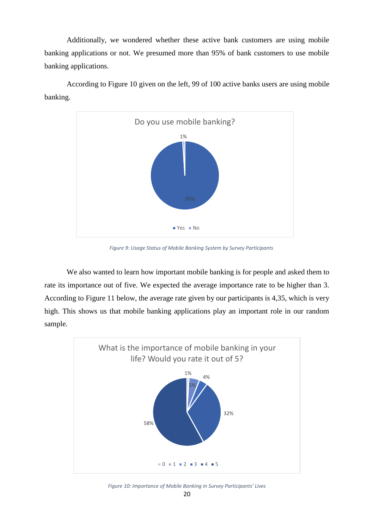Additionally, we wondered whether these active bank customers are using mobile banking applications or not. We presumed more than 95% of bank customers to use mobile banking applications.



According to Figure 10 given on the left, 99 of 100 active banks users are using mobile banking.

*Figure 9: Usage Status of Mobile Banking System by Survey Participants*

We also wanted to learn how important mobile banking is for people and asked them to rate its importance out of five. We expected the average importance rate to be higher than 3. According to Figure 11 below, the average rate given by our participants is 4,35, which is very high. This shows us that mobile banking applications play an important role in our random sample.



*Figure 10: Importance of Mobile Banking in Survey Participants' Lives*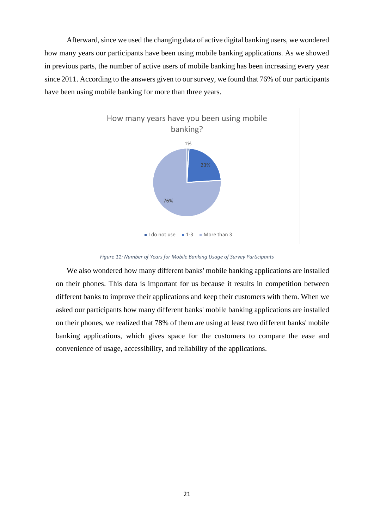Afterward, since we used the changing data of active digital banking users, we wondered how many years our participants have been using mobile banking applications. As we showed in previous parts, the number of active users of mobile banking has been increasing every year since 2011. According to the answers given to our survey, we found that 76% of our participants have been using mobile banking for more than three years.



*Figure 11: Number of Years for Mobile Banking Usage of Survey Participants*

We also wondered how many different banks' mobile banking applications are installed on their phones. This data is important for us because it results in competition between different banks to improve their applications and keep their customers with them. When we asked our participants how many different banks' mobile banking applications are installed on their phones, we realized that 78% of them are using at least two different banks' mobile banking applications, which gives space for the customers to compare the ease and convenience of usage, accessibility, and reliability of the applications.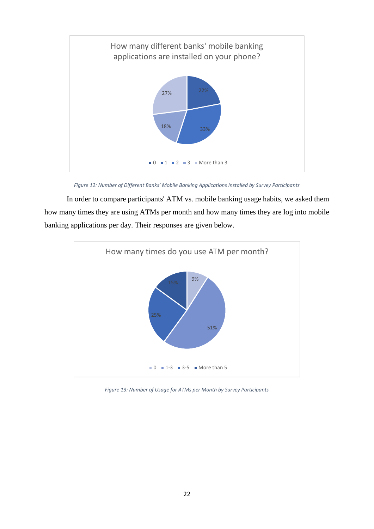

*Figure 12: Number of Different Banks' Mobile Banking Applications Installed by Survey Participants*

In order to compare participants' ATM vs. mobile banking usage habits, we asked them how many times they are using ATMs per month and how many times they are log into mobile banking applications per day. Their responses are given below.



*Figure 13: Number of Usage for ATMs per Month by Survey Participants*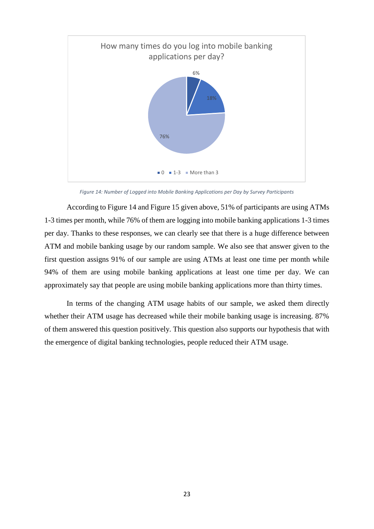

*Figure 14: Number of Logged into Mobile Banking Applications per Day by Survey Participants* 

According to Figure 14 and Figure 15 given above, 51% of participants are using ATMs 1-3 times per month, while 76% of them are logging into mobile banking applications 1-3 times per day. Thanks to these responses, we can clearly see that there is a huge difference between ATM and mobile banking usage by our random sample. We also see that answer given to the first question assigns 91% of our sample are using ATMs at least one time per month while 94% of them are using mobile banking applications at least one time per day. We can approximately say that people are using mobile banking applications more than thirty times.

In terms of the changing ATM usage habits of our sample, we asked them directly whether their ATM usage has decreased while their mobile banking usage is increasing. 87% of them answered this question positively. This question also supports our hypothesis that with the emergence of digital banking technologies, people reduced their ATM usage.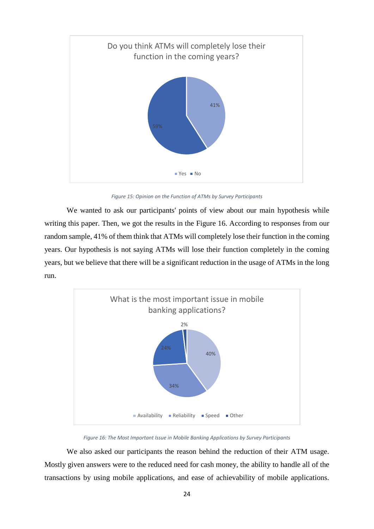

*Figure 15: Opinion on the Function of ATMs by Survey Participants*

We wanted to ask our participants' points of view about our main hypothesis while writing this paper. Then, we got the results in the Figure 16. According to responses from our random sample, 41% of them think that ATMs will completely lose their function in the coming years. Our hypothesis is not saying ATMs will lose their function completely in the coming years, but we believe that there will be a significant reduction in the usage of ATMs in the long run.



*Figure 16: The Most Important Issue in Mobile Banking Applications by Survey Participants*

We also asked our participants the reason behind the reduction of their ATM usage. Mostly given answers were to the reduced need for cash money, the ability to handle all of the transactions by using mobile applications, and ease of achievability of mobile applications.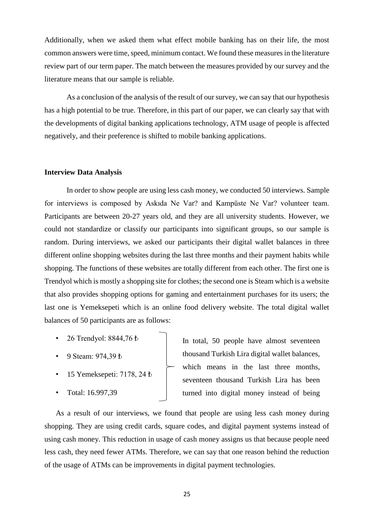Additionally, when we asked them what effect mobile banking has on their life, the most common answers were time, speed, minimum contact. We found these measures in the literature review part of our term paper. The match between the measures provided by our survey and the literature means that our sample is reliable.

As a conclusion of the analysis of the result of our survey, we can say that our hypothesis has a high potential to be true. Therefore, in this part of our paper, we can clearly say that with the developments of digital banking applications technology, ATM usage of people is affected negatively, and their preference is shifted to mobile banking applications.

#### **Interview Data Analysis**

In order to show people are using less cash money, we conducted 50 interviews. Sample for interviews is composed by Askıda Ne Var? and Kampüste Ne Var? volunteer team. Participants are between 20-27 years old, and they are all university students. However, we could not standardize or classify our participants into significant groups, so our sample is random. During interviews, we asked our participants their digital wallet balances in three different online shopping websites during the last three months and their payment habits while shopping. The functions of these websites are totally different from each other. The first one is Trendyol which is mostly a shopping site for clothes; the second one is Steam which is a website that also provides shopping options for gaming and entertainment purchases for its users; the last one is Yemeksepeti which is an online food delivery website. The total digital wallet balances of 50 participants are as follows:

- 26 Trendyol: 8844,76 ₺
- 9 Steam: 974,39 ₺
- 15 Yemeksepeti: 7178, 24 ₺
- Total: 16.997,39

In total, 50 people have almost seventeen thousand Turkish Lira digital wallet balances, which means in the last three months, seventeen thousand Turkish Lira has been turned into digital money instead of being

As a result of our interviews, we found that people are using less cash money during shopping. They are using credit cards, square codes, and digital payment systems instead of using cash money. This reduction in usage of cash money assigns us that because people need less cash, they need fewer ATMs. Therefore, we can say that one reason behind the reduction of the usage of ATMs can be improvements in digital payment technologies.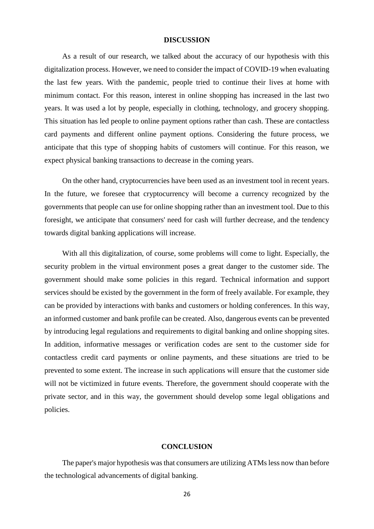#### **DISCUSSION**

As a result of our research, we talked about the accuracy of our hypothesis with this digitalization process. However, we need to consider the impact of COVID-19 when evaluating the last few years. With the pandemic, people tried to continue their lives at home with minimum contact. For this reason, interest in online shopping has increased in the last two years. It was used a lot by people, especially in clothing, technology, and grocery shopping. This situation has led people to online payment options rather than cash. These are contactless card payments and different online payment options. Considering the future process, we anticipate that this type of shopping habits of customers will continue. For this reason, we expect physical banking transactions to decrease in the coming years.

On the other hand, cryptocurrencies have been used as an investment tool in recent years. In the future, we foresee that cryptocurrency will become a currency recognized by the governments that people can use for online shopping rather than an investment tool. Due to this foresight, we anticipate that consumers' need for cash will further decrease, and the tendency towards digital banking applications will increase.

With all this digitalization, of course, some problems will come to light. Especially, the security problem in the virtual environment poses a great danger to the customer side. The government should make some policies in this regard. Technical information and support services should be existed by the government in the form of freely available. For example, they can be provided by interactions with banks and customers or holding conferences. In this way, an informed customer and bank profile can be created. Also, dangerous events can be prevented by introducing legal regulations and requirements to digital banking and online shopping sites. In addition, informative messages or verification codes are sent to the customer side for contactless credit card payments or online payments, and these situations are tried to be prevented to some extent. The increase in such applications will ensure that the customer side will not be victimized in future events. Therefore, the government should cooperate with the private sector, and in this way, the government should develop some legal obligations and policies.

#### **CONCLUSION**

The paper's major hypothesis was that consumers are utilizing ATMs less now than before the technological advancements of digital banking.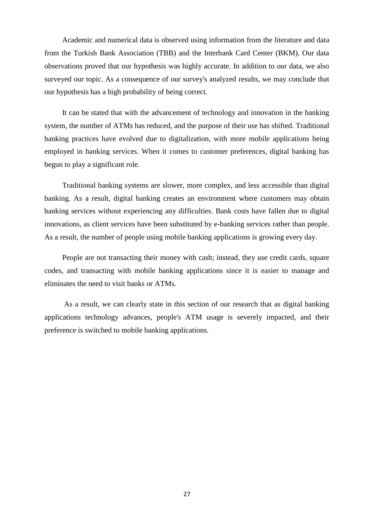Academic and numerical data is observed using information from the literature and data from the Turkish Bank Association (TBB) and the Interbank Card Center (BKM). Our data observations proved that our hypothesis was highly accurate. In addition to our data, we also surveyed our topic. As a consequence of our survey's analyzed results, we may conclude that our hypothesis has a high probability of being correct.

It can be stated that with the advancement of technology and innovation in the banking system, the number of ATMs has reduced, and the purpose of their use has shifted. Traditional banking practices have evolved due to digitalization, with more mobile applications being employed in banking services. When it comes to customer preferences, digital banking has begun to play a significant role.

Traditional banking systems are slower, more complex, and less accessible than digital banking. As a result, digital banking creates an environment where customers may obtain banking services without experiencing any difficulties. Bank costs have fallen due to digital innovations, as client services have been substituted by e-banking services rather than people. As a result, the number of people using mobile banking applications is growing every day.

People are not transacting their money with cash; instead, they use credit cards, square codes, and transacting with mobile banking applications since it is easier to manage and eliminates the need to visit banks or ATMs.

As a result, we can clearly state in this section of our research that as digital banking applications technology advances, people's ATM usage is severely impacted, and their preference is switched to mobile banking applications.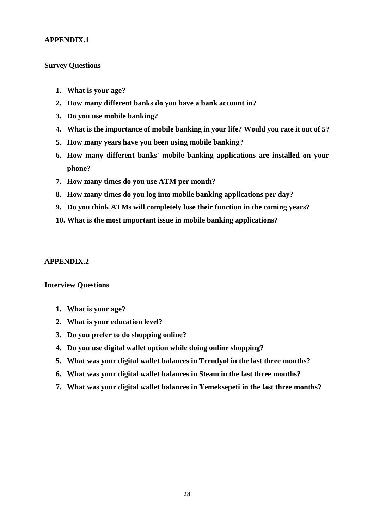# **APPENDIX.1**

## **Survey Questions**

- **1. What is your age?**
- **2. How many different banks do you have a bank account in?**
- **3. Do you use mobile banking?**
- **4. What is the importance of mobile banking in your life? Would you rate it out of 5?**
- **5. How many years have you been using mobile banking?**
- **6. How many different banks' mobile banking applications are installed on your phone?**
- **7. How many times do you use ATM per month?**
- **8. How many times do you log into mobile banking applications per day?**
- **9. Do you think ATMs will completely lose their function in the coming years?**
- **10. What is the most important issue in mobile banking applications?**

#### **APPENDIX.2**

# **Interview Questions**

- **1. What is your age?**
- **2. What is your education level?**
- **3. Do you prefer to do shopping online?**
- **4. Do you use digital wallet option while doing online shopping?**
- **5. What was your digital wallet balances in Trendyol in the last three months?**
- **6. What was your digital wallet balances in Steam in the last three months?**
- **7. What was your digital wallet balances in Yemeksepeti in the last three months?**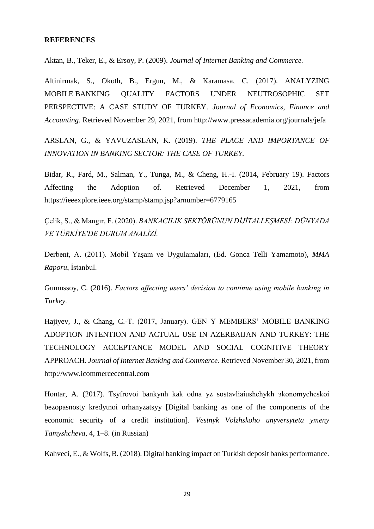## **REFERENCES**

Aktan, B., Teker, E., & Ersoy, P. (2009). *Journal of Internet Banking and Commerce.*

Altinirmak, S., Okoth, B., Ergun, M., & Karamasa, C. (2017). ANALYZING MOBILE BANKING QUALITY FACTORS UNDER NEUTROSOPHIC SET PERSPECTIVE: A CASE STUDY OF TURKEY. *Journal of Economics, Finance and Accounting*. Retrieved November 29, 2021, from http://www.pressacademia.org/journals/jefa

ARSLAN, G., & YAVUZASLAN, K. (2019). *THE PLACE AND IMPORTANCE OF INNOVATION IN BANKING SECTOR: THE CASE OF TURKEY.*

Bidar, R., Fard, M., Salman, Y., Tunga, M., & Cheng, H.-I. (2014, February 19). Factors Affecting the Adoption of. Retrieved December 1, 2021, from https://ieeexplore.ieee.org/stamp/stamp.jsp?arnumber=6779165

Çelik, S., & Mangır, F. (2020). *BANKACILIK SEKTÖRÜNUN DİJİTALLEŞMESİ: DÜNYADA VE TÜRKİYE'DE DURUM ANALİZİ.*

Derbent, A. (2011). Mobil Yaşam ve Uygulamaları, (Ed. Gonca Telli Yamamoto), *MMA Raporu*, İstanbul.

Gumussoy, C. (2016). *Factors affecting users' decision to continue using mobile banking in Turkey.*

Hajiyev, J., & Chang, C.-T. (2017, January). GEN Y MEMBERS' MOBILE BANKING ADOPTION INTENTION AND ACTUAL USE IN AZERBAIJAN AND TURKEY: THE TECHNOLOGY ACCEPTANCE MODEL AND SOCIAL COGNITIVE THEORY APPROACH. *Journal of Internet Banking and Commerce*. Retrieved November 30, 2021, from http://www.icommercecentral.com

Hontar, A. (2017). Tsyfrovoi bankynh kak odna yz sostavliaiushchykh эkonomycheskoi bezopasnosty kredytnoi orhanyzatsyy [Digital banking as one of the components of the economic security of a credit institution]. *Vestnyk Volzhskoho unyversyteta ymeny Tamyshcheva*, 4, 1*–*8. (in Russian)

Kahveci, E., & Wolfs, B. (2018). Digital banking impact on Turkish deposit banks performance.